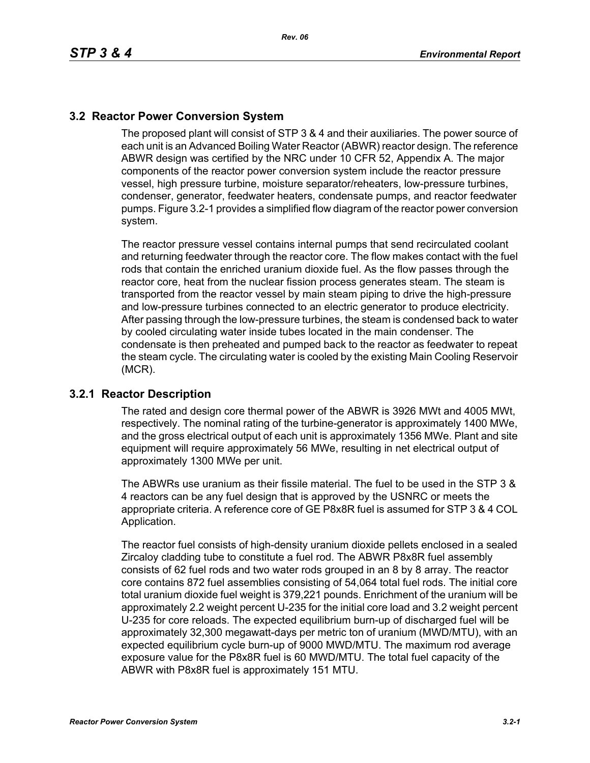## **3.2 Reactor Power Conversion System**

The proposed plant will consist of STP 3 & 4 and their auxiliaries. The power source of each unit is an Advanced Boiling Water Reactor (ABWR) reactor design. The reference ABWR design was certified by the NRC under 10 CFR 52, Appendix A. The major components of the reactor power conversion system include the reactor pressure vessel, high pressure turbine, moisture separator/reheaters, low-pressure turbines, condenser, generator, feedwater heaters, condensate pumps, and reactor feedwater pumps. Figure 3.2-1 provides a simplified flow diagram of the reactor power conversion system.

The reactor pressure vessel contains internal pumps that send recirculated coolant and returning feedwater through the reactor core. The flow makes contact with the fuel rods that contain the enriched uranium dioxide fuel. As the flow passes through the reactor core, heat from the nuclear fission process generates steam. The steam is transported from the reactor vessel by main steam piping to drive the high-pressure and low-pressure turbines connected to an electric generator to produce electricity. After passing through the low-pressure turbines, the steam is condensed back to water by cooled circulating water inside tubes located in the main condenser. The condensate is then preheated and pumped back to the reactor as feedwater to repeat the steam cycle. The circulating water is cooled by the existing Main Cooling Reservoir (MCR).

## **3.2.1 Reactor Description**

The rated and design core thermal power of the ABWR is 3926 MWt and 4005 MWt, respectively. The nominal rating of the turbine-generator is approximately 1400 MWe, and the gross electrical output of each unit is approximately 1356 MWe. Plant and site equipment will require approximately 56 MWe, resulting in net electrical output of approximately 1300 MWe per unit.

The ABWRs use uranium as their fissile material. The fuel to be used in the STP 3 & 4 reactors can be any fuel design that is approved by the USNRC or meets the appropriate criteria. A reference core of GE P8x8R fuel is assumed for STP 3 & 4 COL Application.

The reactor fuel consists of high-density uranium dioxide pellets enclosed in a sealed Zircaloy cladding tube to constitute a fuel rod. The ABWR P8x8R fuel assembly consists of 62 fuel rods and two water rods grouped in an 8 by 8 array. The reactor core contains 872 fuel assemblies consisting of 54,064 total fuel rods. The initial core total uranium dioxide fuel weight is 379,221 pounds. Enrichment of the uranium will be approximately 2.2 weight percent U-235 for the initial core load and 3.2 weight percent U-235 for core reloads. The expected equilibrium burn-up of discharged fuel will be approximately 32,300 megawatt-days per metric ton of uranium (MWD/MTU), with an expected equilibrium cycle burn-up of 9000 MWD/MTU. The maximum rod average exposure value for the P8x8R fuel is 60 MWD/MTU. The total fuel capacity of the ABWR with P8x8R fuel is approximately 151 MTU.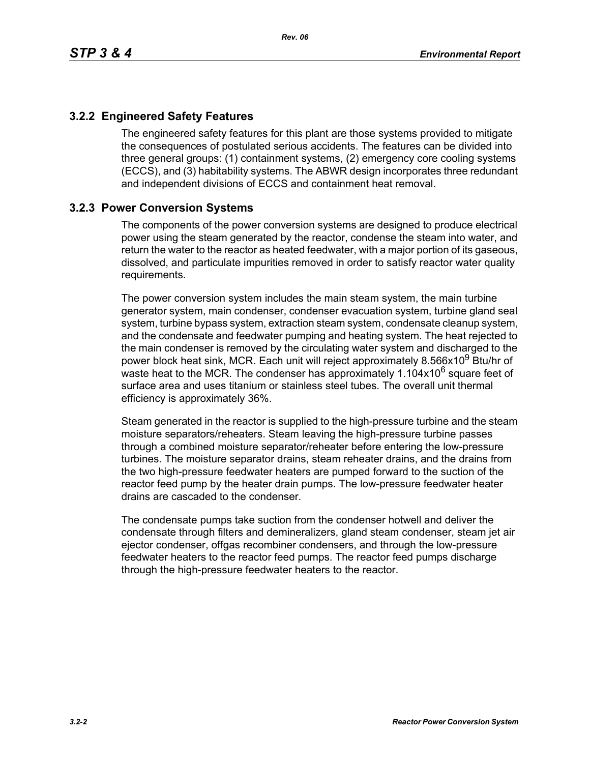## **3.2.2 Engineered Safety Features**

The engineered safety features for this plant are those systems provided to mitigate the consequences of postulated serious accidents. The features can be divided into three general groups: (1) containment systems, (2) emergency core cooling systems (ECCS), and (3) habitability systems. The ABWR design incorporates three redundant and independent divisions of ECCS and containment heat removal.

## **3.2.3 Power Conversion Systems**

The components of the power conversion systems are designed to produce electrical power using the steam generated by the reactor, condense the steam into water, and return the water to the reactor as heated feedwater, with a major portion of its gaseous, dissolved, and particulate impurities removed in order to satisfy reactor water quality requirements.

The power conversion system includes the main steam system, the main turbine generator system, main condenser, condenser evacuation system, turbine gland seal system, turbine bypass system, extraction steam system, condensate cleanup system, and the condensate and feedwater pumping and heating system. The heat rejected to the main condenser is removed by the circulating water system and discharged to the power block heat sink, MCR. Each unit will reject approximately 8.566x10<sup>9</sup> Btu/hr of waste heat to the MCR. The condenser has approximately  $1.104x10^6$  square feet of surface area and uses titanium or stainless steel tubes. The overall unit thermal efficiency is approximately 36%.

Steam generated in the reactor is supplied to the high-pressure turbine and the steam moisture separators/reheaters. Steam leaving the high-pressure turbine passes through a combined moisture separator/reheater before entering the low-pressure turbines. The moisture separator drains, steam reheater drains, and the drains from the two high-pressure feedwater heaters are pumped forward to the suction of the reactor feed pump by the heater drain pumps. The low-pressure feedwater heater drains are cascaded to the condenser.

The condensate pumps take suction from the condenser hotwell and deliver the condensate through filters and demineralizers, gland steam condenser, steam jet air ejector condenser, offgas recombiner condensers, and through the low-pressure feedwater heaters to the reactor feed pumps. The reactor feed pumps discharge through the high-pressure feedwater heaters to the reactor.